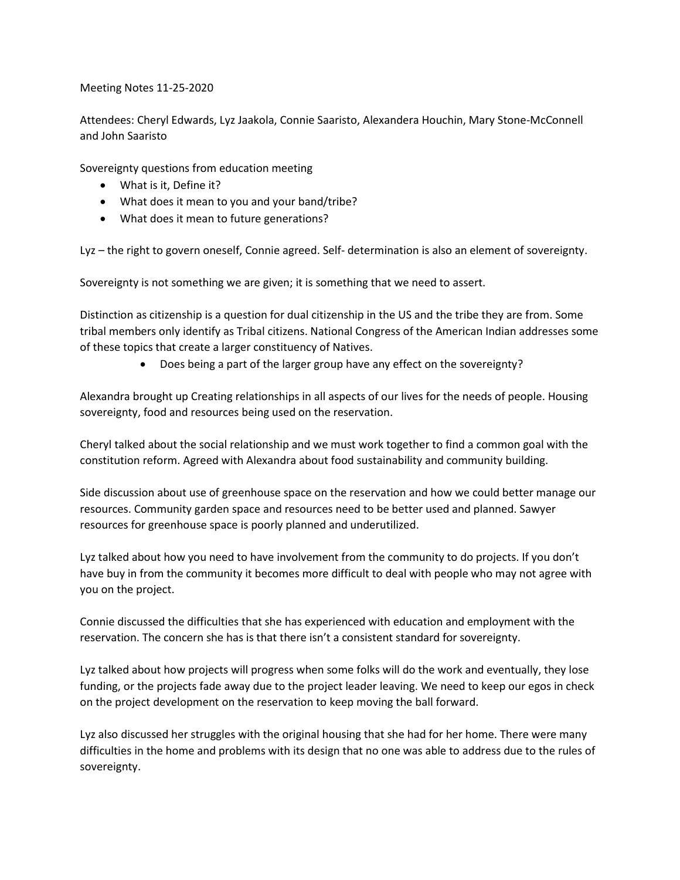Meeting Notes 11-25-2020

Attendees: Cheryl Edwards, Lyz Jaakola, Connie Saaristo, Alexandera Houchin, Mary Stone-McConnell and John Saaristo

Sovereignty questions from education meeting

- What is it, Define it?
- What does it mean to you and your band/tribe?
- What does it mean to future generations?

Lyz – the right to govern oneself, Connie agreed. Self- determination is also an element of sovereignty.

Sovereignty is not something we are given; it is something that we need to assert.

Distinction as citizenship is a question for dual citizenship in the US and the tribe they are from. Some tribal members only identify as Tribal citizens. National Congress of the American Indian addresses some of these topics that create a larger constituency of Natives.

• Does being a part of the larger group have any effect on the sovereignty?

Alexandra brought up Creating relationships in all aspects of our lives for the needs of people. Housing sovereignty, food and resources being used on the reservation.

Cheryl talked about the social relationship and we must work together to find a common goal with the constitution reform. Agreed with Alexandra about food sustainability and community building.

Side discussion about use of greenhouse space on the reservation and how we could better manage our resources. Community garden space and resources need to be better used and planned. Sawyer resources for greenhouse space is poorly planned and underutilized.

Lyz talked about how you need to have involvement from the community to do projects. If you don't have buy in from the community it becomes more difficult to deal with people who may not agree with you on the project.

Connie discussed the difficulties that she has experienced with education and employment with the reservation. The concern she has is that there isn't a consistent standard for sovereignty.

Lyz talked about how projects will progress when some folks will do the work and eventually, they lose funding, or the projects fade away due to the project leader leaving. We need to keep our egos in check on the project development on the reservation to keep moving the ball forward.

Lyz also discussed her struggles with the original housing that she had for her home. There were many difficulties in the home and problems with its design that no one was able to address due to the rules of sovereignty.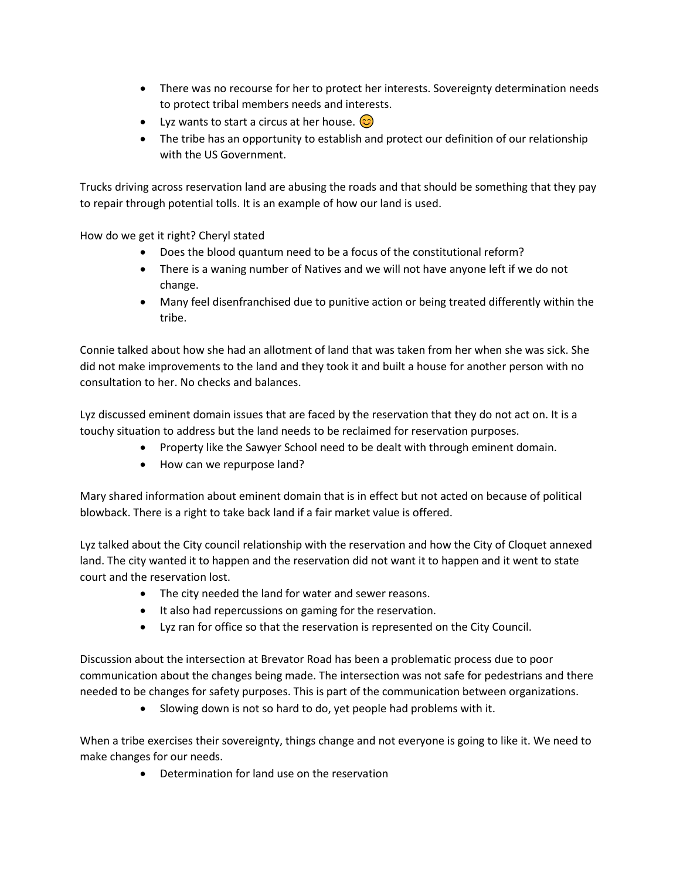- There was no recourse for her to protect her interests. Sovereignty determination needs to protect tribal members needs and interests.
- Lyz wants to start a circus at her house.  $\odot$
- The tribe has an opportunity to establish and protect our definition of our relationship with the US Government.

Trucks driving across reservation land are abusing the roads and that should be something that they pay to repair through potential tolls. It is an example of how our land is used.

How do we get it right? Cheryl stated

- Does the blood quantum need to be a focus of the constitutional reform?
- There is a waning number of Natives and we will not have anyone left if we do not change.
- Many feel disenfranchised due to punitive action or being treated differently within the tribe.

Connie talked about how she had an allotment of land that was taken from her when she was sick. She did not make improvements to the land and they took it and built a house for another person with no consultation to her. No checks and balances.

Lyz discussed eminent domain issues that are faced by the reservation that they do not act on. It is a touchy situation to address but the land needs to be reclaimed for reservation purposes.

- Property like the Sawyer School need to be dealt with through eminent domain.
- How can we repurpose land?

Mary shared information about eminent domain that is in effect but not acted on because of political blowback. There is a right to take back land if a fair market value is offered.

Lyz talked about the City council relationship with the reservation and how the City of Cloquet annexed land. The city wanted it to happen and the reservation did not want it to happen and it went to state court and the reservation lost.

- The city needed the land for water and sewer reasons.
- It also had repercussions on gaming for the reservation.
- Lyz ran for office so that the reservation is represented on the City Council.

Discussion about the intersection at Brevator Road has been a problematic process due to poor communication about the changes being made. The intersection was not safe for pedestrians and there needed to be changes for safety purposes. This is part of the communication between organizations.

• Slowing down is not so hard to do, yet people had problems with it.

When a tribe exercises their sovereignty, things change and not everyone is going to like it. We need to make changes for our needs.

• Determination for land use on the reservation